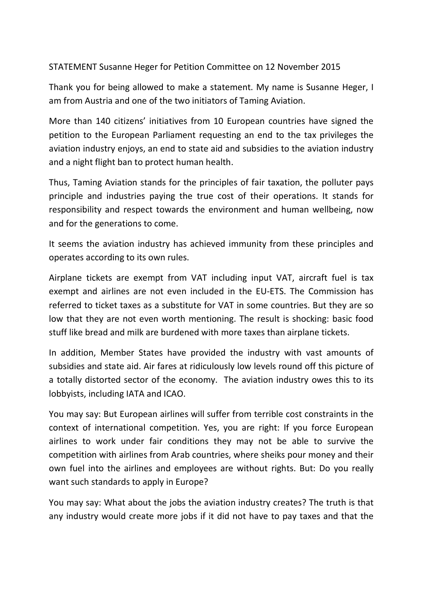STATEMENT Susanne Heger for Petition Committee on 12 November 2015

Thank you for being allowed to make a statement. My name is Susanne Heger, I am from Austria and one of the two initiators of Taming Aviation.

More than 140 citizens' initiatives from 10 European countries have signed the petition to the European Parliament requesting an end to the tax privileges the aviation industry enjoys, an end to state aid and subsidies to the aviation industry and a night flight ban to protect human health.

Thus, Taming Aviation stands for the principles of fair taxation, the polluter pays principle and industries paying the true cost of their operations. It stands for responsibility and respect towards the environment and human wellbeing, now and for the generations to come.

It seems the aviation industry has achieved immunity from these principles and operates according to its own rules.

Airplane tickets are exempt from VAT including input VAT, aircraft fuel is tax exempt and airlines are not even included in the EU-ETS. The Commission has referred to ticket taxes as a substitute for VAT in some countries. But they are so low that they are not even worth mentioning. The result is shocking: basic food stuff like bread and milk are burdened with more taxes than airplane tickets.

In addition, Member States have provided the industry with vast amounts of subsidies and state aid. Air fares at ridiculously low levels round off this picture of a totally distorted sector of the economy. The aviation industry owes this to its lobbyists, including IATA and ICAO.

You may say: But European airlines will suffer from terrible cost constraints in the context of international competition. Yes, you are right: If you force European airlines to work under fair conditions they may not be able to survive the competition with airlines from Arab countries, where sheiks pour money and their own fuel into the airlines and employees are without rights. But: Do you really want such standards to apply in Europe?

You may say: What about the jobs the aviation industry creates? The truth is that any industry would create more jobs if it did not have to pay taxes and that the